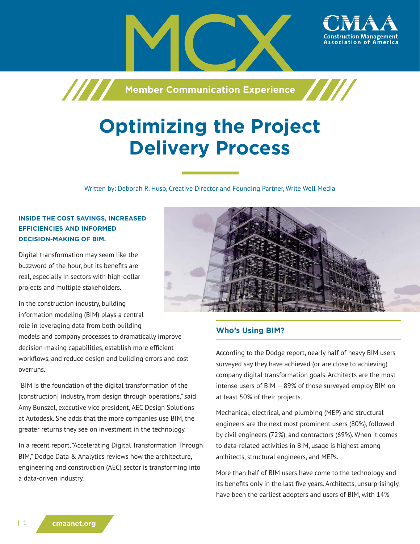

# **Optimizing the Project Delivery Process**

Written by: Deborah R. Huso, Creative Director and Founding Partner, Write Well Media

## **INSIDE THE COST SAVINGS, INCREASED EFFICIENCIES AND INFORMED DECISION-MAKING OF BIM.**

Digital transformation may seem like the buzzword of the hour, but its benefits are real, especially in sectors with high-dollar projects and multiple stakeholders.

In the construction industry, building information modeling (BIM) plays a central role in leveraging data from both building

models and company processes to dramatically improve decision-making capabilities, establish more efficient workflows, and reduce design and building errors and cost overruns.

"BIM is the foundation of the digital transformation of the [construction] industry, from design through operations," said Amy Bunszel, executive vice president, AEC Design Solutions at Autodesk. She adds that the more companies use BIM, the greater returns they see on investment in the technology.

In a recent report, "Accelerating Digital Transformation Through BIM," Dodge Data & Analytics reviews how the architecture, engineering and construction (AEC) sector is transforming into a data-driven industry.



### **Who's Using BIM?**

According to the Dodge report, nearly half of heavy BIM users surveyed say they have achieved (or are close to achieving) company digital transformation goals. Architects are the most intense users of BIM — 89% of those surveyed employ BIM on at least 50% of their projects.

Mechanical, electrical, and plumbing (MEP) and structural engineers are the next most prominent users (80%), followed by civil engineers (72%), and contractors (69%). When it comes to data-related activities in BIM, usage is highest among architects, structural engineers, and MEPs.

More than half of BIM users have come to the technology and its benefits only in the last five years. Architects, unsurprisingly, have been the earliest adopters and users of BIM, with 14%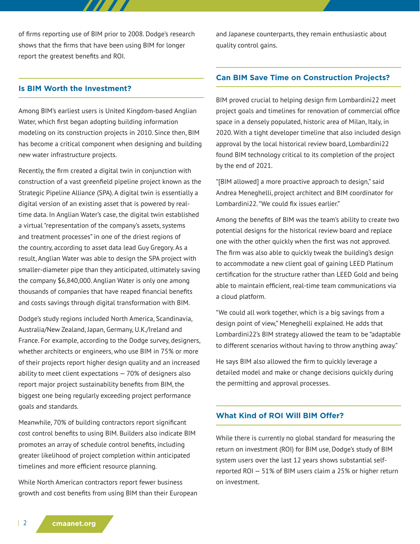of firms reporting use of BIM prior to 2008. Dodge's research shows that the firms that have been using BIM for longer report the greatest benefits and ROI.

77 T T

#### **Is BIM Worth the Investment?**

Among BIM's earliest users is United Kingdom-based Anglian Water, which first began adopting building information modeling on its construction projects in 2010. Since then, BIM has become a critical component when designing and building new water infrastructure projects.

Recently, the firm created a digital twin in conjunction with construction of a vast greenfield pipeline project known as the Strategic Pipeline Alliance (SPA). A digital twin is essentially a digital version of an existing asset that is powered by realtime data. In Anglian Water's case, the digital twin established a virtual "representation of the company's assets, systems and treatment processes" in one of the driest regions of the country, according to asset data lead Guy Gregory. As a result, Anglian Water was able to design the SPA project with smaller-diameter pipe than they anticipated, ultimately saving the company \$6,840,000. Anglian Water is only one among thousands of companies that have reaped financial benefits and costs savings through digital transformation with BIM.

Dodge's study regions included North America, Scandinavia, Australia/New Zealand, Japan, Germany, U.K./Ireland and France. For example, according to the Dodge survey, designers, whether architects or engineers, who use BIM in 75% or more of their projects report higher design quality and an increased ability to meet client expectations — 70% of designers also report major project sustainability benefits from BIM, the biggest one being regularly exceeding project performance goals and standards.

Meanwhile, 70% of building contractors report significant cost control benefits to using BIM. Builders also indicate BIM promotes an array of schedule control benefits, including greater likelihood of project completion within anticipated timelines and more efficient resource planning.

While North American contractors report fewer business growth and cost benefits from using BIM than their European and Japanese counterparts, they remain enthusiastic about quality control gains.

#### **Can BIM Save Time on Construction Projects?**

BIM proved crucial to helping design firm Lombardini22 meet project goals and timelines for renovation of commercial office space in a densely populated, historic area of Milan, Italy, in 2020. With a tight developer timeline that also included design approval by the local historical review board, Lombardini22 found BIM technology critical to its completion of the project by the end of 2021.

"[BIM allowed] a more proactive approach to design," said Andrea Meneghelli, project architect and BIM coordinator for Lombardini22. "We could fix issues earlier."

Among the benefits of BIM was the team's ability to create two potential designs for the historical review board and replace one with the other quickly when the first was not approved. The firm was also able to quickly tweak the building's design to accommodate a new client goal of gaining LEED Platinum certification for the structure rather than LEED Gold and being able to maintain efficient, real-time team communications via a cloud platform.

"We could all work together, which is a big savings from a design point of view," Meneghelli explained. He adds that Lombardini22's BIM strategy allowed the team to be "adaptable to different scenarios without having to throw anything away."

He says BIM also allowed the firm to quickly leverage a detailed model and make or change decisions quickly during the permitting and approval processes.

#### **What Kind of ROI Will BIM Offer?**

While there is currently no global standard for measuring the return on investment (ROI) for BIM use, Dodge's study of BIM system users over the last 12 years shows substantial selfreported ROI — 51% of BIM users claim a 25% or higher return on investment.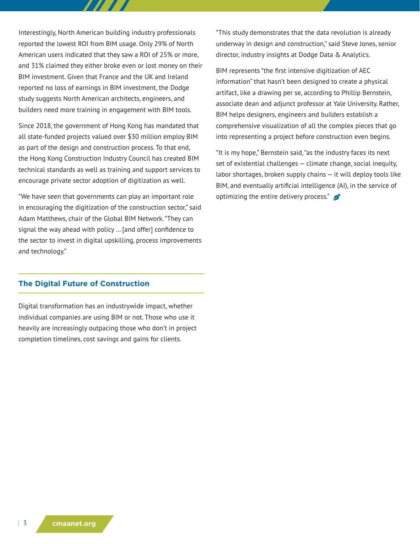Interestingly, North American building industry professionals reported the lowest ROI from BIM usage. Only 29% of North American users indicated that they saw a ROI of 25% or more, and 31% claimed they either broke even or lost money on their BIM investment. Given that France and the UK and Ireland reported no loss of earnings in BIM investment, the Dodge study suggests North American architects, engineers, and builders need more training in engagement with BIM tools.

Since 2018, the government of Hong Kong has mandated that all state-funded projects valued over \$30 million employ BIM as part of the design and construction process. To that end, the Hong Kong Construction Industry Council has created BIM technical standards as well as training and support services to encourage private sector adoption of digitization as well.

"We have seen that governments can play an important role in encouraging the digitization of the construction sector," said Adam Matthews, chair of the Global BIM Network. "They can signal the way ahead with policy … [and offer] confidence to the sector to invest in digital upskilling, process improvements and technology."

#### **The Digital Future of Construction**

Digital transformation has an industrywide impact, whether individual companies are using BIM or not. Those who use it heavily are increasingly outpacing those who don't in project completion timelines, cost savings and gains for clients.

"This study demonstrates that the data revolution is already underway in design and construction," said Steve Jones, senior director, industry insights at Dodge Data & Analytics.

BIM represents "the first intensive digitization of AEC information" that hasn't been designed to create a physical artifact, like a drawing per se, according to Phillip Bernstein, associate dean and adjunct professor at Yale University. Rather, BIM helps designers, engineers and builders establish a comprehensive visualization of all the complex pieces that go into representing a project before construction even begins.

"It is my hope," Bernstein said, "as the industry faces its next set of existential challenges — climate change, social inequity, labor shortages, broken supply chains — it will deploy tools like BIM, and eventually artificial intelligence (AI), in the service of optimizing the entire delivery process."